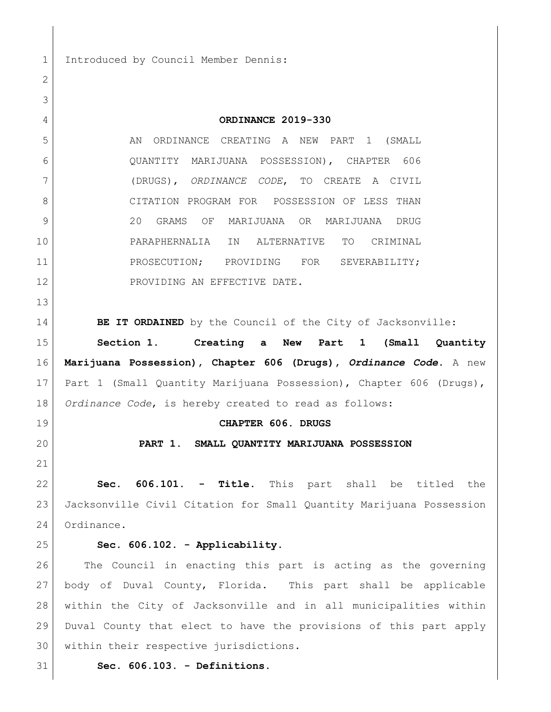1 Introduced by Council Member Dennis:

| ے  |                                                                     |
|----|---------------------------------------------------------------------|
| 3  |                                                                     |
| 4  | ORDINANCE 2019-330                                                  |
| 5  | AN ORDINANCE CREATING A NEW PART 1 (SMALL                           |
| 6  | QUANTITY MARIJUANA POSSESSION), CHAPTER 606                         |
| 7  | (DRUGS), ORDINANCE CODE, TO CREATE A CIVIL                          |
| 8  | CITATION PROGRAM FOR POSSESSION OF LESS THAN                        |
| 9  | 20<br>OF MARIJUANA OR MARIJUANA<br>GRAMS<br>DRUG                    |
| 10 | PARAPHERNALIA IN<br>ALTERNATIVE<br>TO<br>CRIMINAL                   |
| 11 | PROSECUTION; PROVIDING FOR<br>SEVERABILITY;                         |
| 12 | PROVIDING AN EFFECTIVE DATE.                                        |
| 13 |                                                                     |
| 14 | BE IT ORDAINED by the Council of the City of Jacksonville:          |
| 15 | Section 1. Creating a New Part 1 (Small Quantity                    |
| 16 | Marijuana Possession), Chapter 606 (Drugs), Ordinance Code. A new   |
| 17 | Part 1 (Small Quantity Marijuana Possession), Chapter 606 (Drugs),  |
| 18 | Ordinance Code, is hereby created to read as follows:               |
| 19 | CHAPTER 606. DRUGS                                                  |
| 20 | PART 1. SMALL QUANTITY MARIJUANA POSSESSION                         |
| 21 |                                                                     |
| 22 | $606.101. -$<br>Title. This part shall be titled the<br>Sec.        |
| 23 | Jacksonville Civil Citation for Small Quantity Marijuana Possession |
| 24 | Ordinance.                                                          |
| 25 | Sec. 606.102. - Applicability.                                      |
| 26 | The Council in enacting this part is acting as the governing        |
| 27 | body of Duval County, Florida. This part shall be applicable        |
| 28 | within the City of Jacksonville and in all municipalities within    |
| 29 | Duval County that elect to have the provisions of this part apply   |
| 30 | within their respective jurisdictions.                              |
| 31 | Sec. 606.103. - Definitions.                                        |
|    |                                                                     |

 $\overline{2}$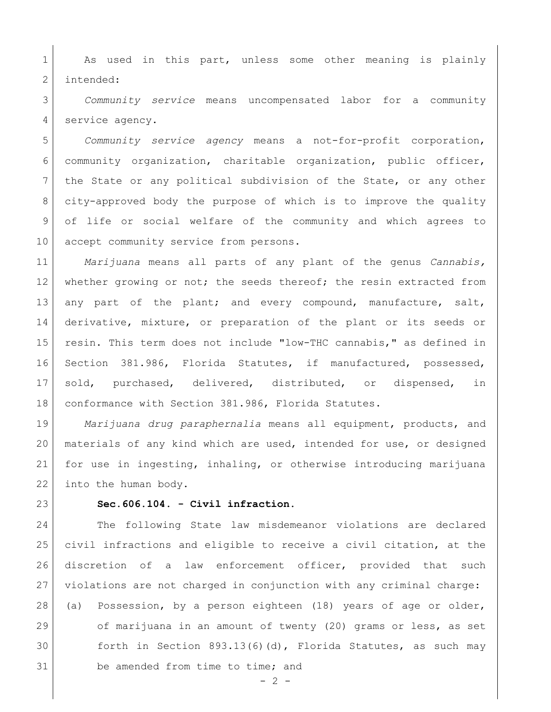1 | As used in this part, unless some other meaning is plainly 2 intended:

 *Community service* means uncompensated labor for a community 4 service agency.

 *Community service agency* means a not-for-profit corporation, community organization, charitable organization, public officer, the State or any political subdivision of the State, or any other city-approved body the purpose of which is to improve the quality of life or social welfare of the community and which agrees to 10 accept community service from persons.

 *Marijuana* means all parts of any plant of the genus *Cannabis,* 12 whether growing or not; the seeds thereof; the resin extracted from 13 any part of the plant; and every compound, manufacture, salt, derivative, mixture, or preparation of the plant or its seeds or resin. This term does not include "low-THC cannabis," as defined in Section 381.986, Florida Statutes, if manufactured, possessed, sold, purchased, delivered, distributed, or dispensed, in 18 conformance with Section 381.986, Florida Statutes.

 *Marijuana drug paraphernalia* means all equipment, products, and materials of any kind which are used, intended for use, or designed for use in ingesting, inhaling, or otherwise introducing marijuana 22 into the human body.

## **Sec.606.104. - Civil infraction.**

 The following State law misdemeanor violations are declared civil infractions and eligible to receive a civil citation, at the discretion of a law enforcement officer, provided that such violations are not charged in conjunction with any criminal charge: (a) Possession, by a person eighteen (18) years of age or older, of marijuana in an amount of twenty (20) grams or less, as set forth in Section 893.13(6)(d), Florida Statutes, as such may 31 be amended from time to time; and

 $-2 -$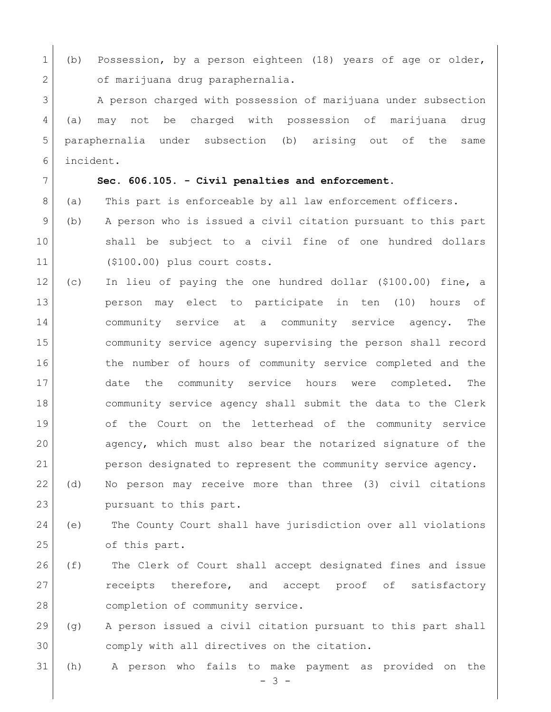1 (b) Possession, by a person eighteen (18) years of age or older, 2 of marijuana drug paraphernalia.

3 A person charged with possession of marijuana under subsection (a) may not be charged with possession of marijuana drug paraphernalia under subsection (b) arising out of the same incident.

## **Sec. 606.105. - Civil penalties and enforcement.**

- 8 (a) This part is enforceable by all law enforcement officers.
- (b) A person who is issued a civil citation pursuant to this part shall be subject to a civil fine of one hundred dollars (\$100.00) plus court costs.
- (c) In lieu of paying the one hundred dollar (\$100.00) fine, a person may elect to participate in ten (10) hours of community service at a community service agency. The community service agency supervising the person shall record 16 16 the number of hours of community service completed and the date the community service hours were completed. The community service agency shall submit the data to the Clerk of the Court on the letterhead of the community service agency, which must also bear the notarized signature of the person designated to represent the community service agency.
- (d) No person may receive more than three (3) civil citations 23 pursuant to this part.
- (e) The County Court shall have jurisdiction over all violations 25 of this part.
- (f) The Clerk of Court shall accept designated fines and issue **cancellers** therefore, and accept proof of satisfactory 28 completion of community service.
- (g) A person issued a civil citation pursuant to this part shall comply with all directives on the citation.

(h) A person who fails to make payment as provided on the

- 3 -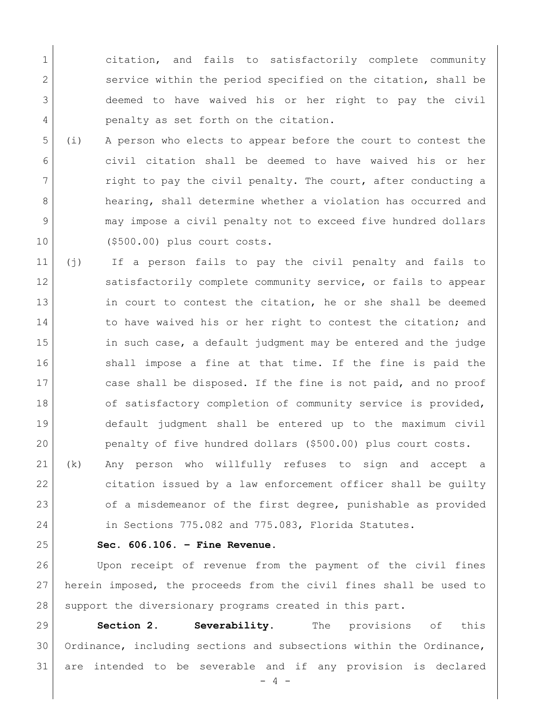1 citation, and fails to satisfactorily complete community 2 service within the period specified on the citation, shall be 3 deemed to have waived his or her right to pay the civil 4 penalty as set forth on the citation.

- 5 (i) A person who elects to appear before the court to contest the 6 civil citation shall be deemed to have waived his or her 7 right to pay the civil penalty. The court, after conducting a 8 hearing, shall determine whether a violation has occurred and 9 may impose a civil penalty not to exceed five hundred dollars 10 (\$500.00) plus court costs.
- 11 (j) If a person fails to pay the civil penalty and fails to 12 satisfactorily complete community service, or fails to appear 13 in court to contest the citation, he or she shall be deemed 14 14 to have waived his or her right to contest the citation; and 15 in such case, a default judgment may be entered and the judge 16 Shall impose a fine at that time. If the fine is paid the 17 case shall be disposed. If the fine is not paid, and no proof 18 of satisfactory completion of community service is provided, 19 default judgment shall be entered up to the maximum civil 20 penalty of five hundred dollars (\$500.00) plus court costs.
- 21 (k) Any person who willfully refuses to sign and accept a 22 citation issued by a law enforcement officer shall be guilty 23 of a misdemeanor of the first degree, punishable as provided 24 in Sections 775.082 and 775.083, Florida Statutes.
- 

## 25 **Sec. 606.106. – Fine Revenue.**

26 Upon receipt of revenue from the payment of the civil fines 27 herein imposed, the proceeds from the civil fines shall be used to 28 support the diversionary programs created in this part.

29 **Section 2. Severability.** The provisions of this 30 Ordinance, including sections and subsections within the Ordinance, 31 are intended to be severable and if any provision is declared

 $- 4 -$